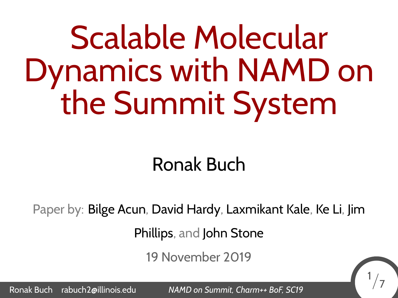# Scalable Molecular Dynamics with NAMD on the Summit System

#### Ronak Buch

Paper by: Bilge Acun, David Hardy, Laxmikant Kale, Ke Li, Jim

Phillips, and John Stone

19 November 2019

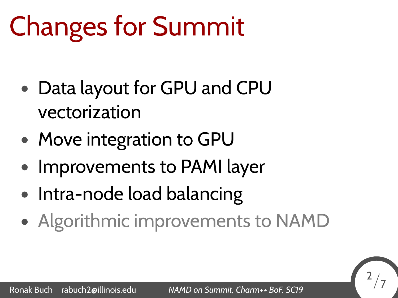## Changes for Summit

- *•* Data layout for GPU and CPU vectorization
- *•* Move integration to GPU
- *•* Improvements to PAMI layer
- *•* Intra-node load balancing
- *•* Algorithmic improvements to NAMD

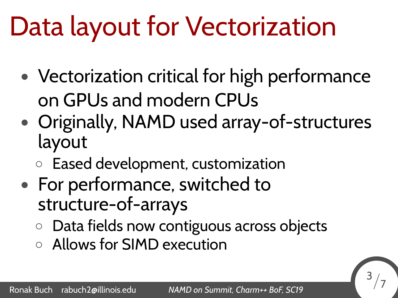## Data layout for Vectorization

- *•* Vectorization critical for high performance on GPUs and modern CPUs
- *•* Originally, NAMD used array-of-structures layout
	- *◦* Eased development, customization
- *•* For performance, switched to structure-of-arrays
	- *◦* Data fields now contiguous across objects
	- *◦* Allows for SIMD execution

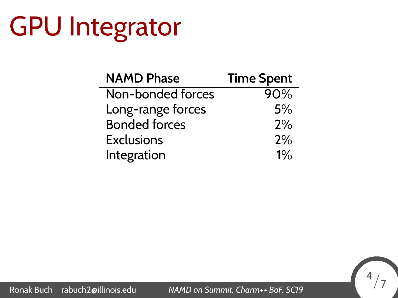# GPU Integrator

| <b>NAMD Phase</b>    | <b>Time Spent</b> |
|----------------------|-------------------|
| Non-bonded forces    | 90%               |
| Long-range forces    | 5%                |
| <b>Bonded forces</b> | 2%                |
| <b>Exclusions</b>    | 2%                |
| Integration          | $1\%$             |

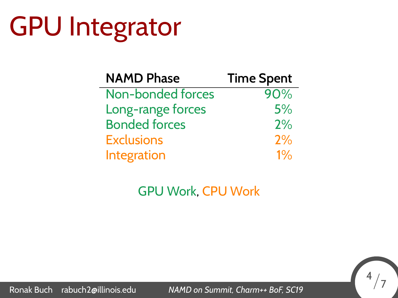## GPU Integrator

| <b>NAMD Phase</b>    | <b>Time Spent</b> |
|----------------------|-------------------|
| Non-bonded forces    | 90%               |
| Long-range forces    | 5%                |
| <b>Bonded forces</b> | 2%                |
| <b>Exclusions</b>    | 2%                |
| Integration          | $1\%$             |

GPU Work, CPU Work

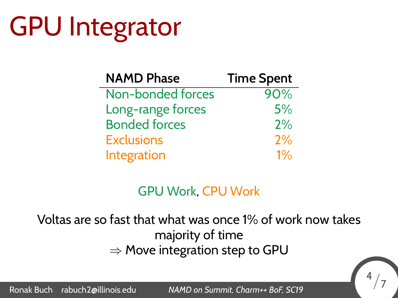## GPU Integrator

| <b>NAMD Phase</b>    | <b>Time Spent</b> |
|----------------------|-------------------|
| Non-bonded forces    | 90%               |
| Long-range forces    | 5%                |
| <b>Bonded forces</b> | 2%                |
| <b>Exclusions</b>    | 2%                |
| Integration          | $1\%$             |

#### GPU Work, CPU Work

Voltas are so fast that what was once 1% of work now takes majority of time *⇒* Move integration step to GPU

```
Ronak Buch rabuch2@illinois.edu NAMD on Summit, Charm++ BoF, SC19 4/7
```
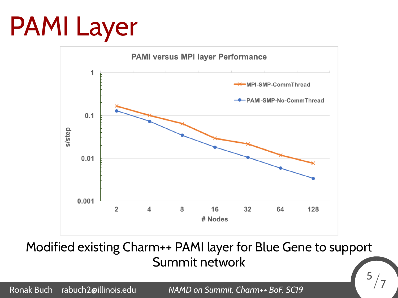## PAMI Layer



Modified existing Charm++ PAMI layer for Blue Gene to support Summit network

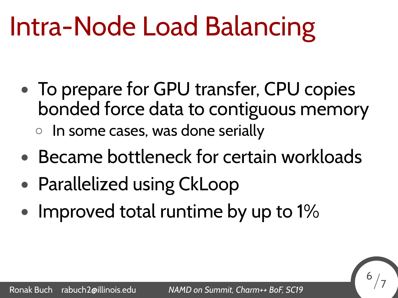#### Intra-Node Load Balancing

- *•* To prepare for GPU transfer, CPU copies bonded force data to contiguous memory *◦* In some cases, was done serially
- *•* Became bottleneck for certain workloads
- *•* Parallelized using CkLoop
- *•* Improved total runtime by up to 1%